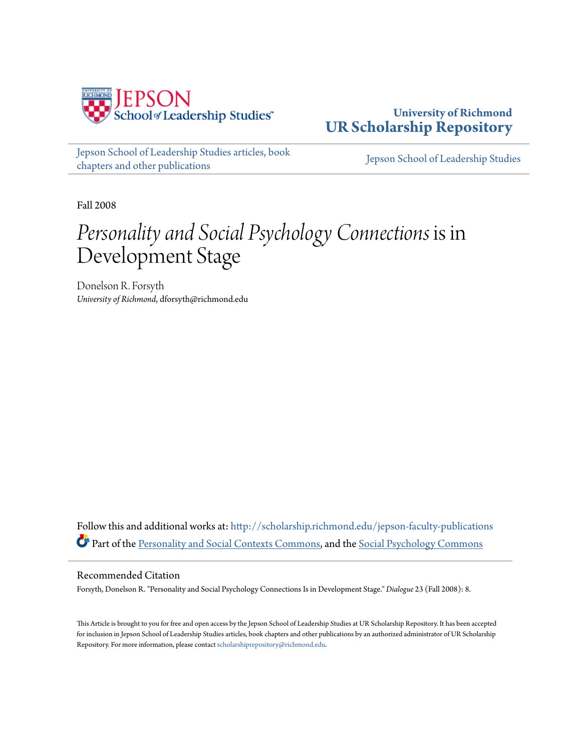

**University of Richmond [UR Scholarship Repository](http://scholarship.richmond.edu?utm_source=scholarship.richmond.edu%2Fjepson-faculty-publications%2F168&utm_medium=PDF&utm_campaign=PDFCoverPages)**

[Jepson School of Leadership Studies articles, book](http://scholarship.richmond.edu/jepson-faculty-publications?utm_source=scholarship.richmond.edu%2Fjepson-faculty-publications%2F168&utm_medium=PDF&utm_campaign=PDFCoverPages) [chapters and other publications](http://scholarship.richmond.edu/jepson-faculty-publications?utm_source=scholarship.richmond.edu%2Fjepson-faculty-publications%2F168&utm_medium=PDF&utm_campaign=PDFCoverPages)

[Jepson School of Leadership Studies](http://scholarship.richmond.edu/jepson?utm_source=scholarship.richmond.edu%2Fjepson-faculty-publications%2F168&utm_medium=PDF&utm_campaign=PDFCoverPages)

Fall 2008

## *Personality and Social Psychology Connections* is in Development Stage

Donelson R. Forsyth *University of Richmond*, dforsyth@richmond.edu

Follow this and additional works at: [http://scholarship.richmond.edu/jepson-faculty-publications](http://scholarship.richmond.edu/jepson-faculty-publications?utm_source=scholarship.richmond.edu%2Fjepson-faculty-publications%2F168&utm_medium=PDF&utm_campaign=PDFCoverPages) Part of the [Personality and Social Contexts Commons,](http://network.bepress.com/hgg/discipline/413?utm_source=scholarship.richmond.edu%2Fjepson-faculty-publications%2F168&utm_medium=PDF&utm_campaign=PDFCoverPages) and the [Social Psychology Commons](http://network.bepress.com/hgg/discipline/414?utm_source=scholarship.richmond.edu%2Fjepson-faculty-publications%2F168&utm_medium=PDF&utm_campaign=PDFCoverPages)

## Recommended Citation

Forsyth, Donelson R. "Personality and Social Psychology Connections Is in Development Stage." *Dialogue* 23 (Fall 2008): 8.

This Article is brought to you for free and open access by the Jepson School of Leadership Studies at UR Scholarship Repository. It has been accepted for inclusion in Jepson School of Leadership Studies articles, book chapters and other publications by an authorized administrator of UR Scholarship Repository. For more information, please contact [scholarshiprepository@richmond.edu.](mailto:scholarshiprepository@richmond.edu)